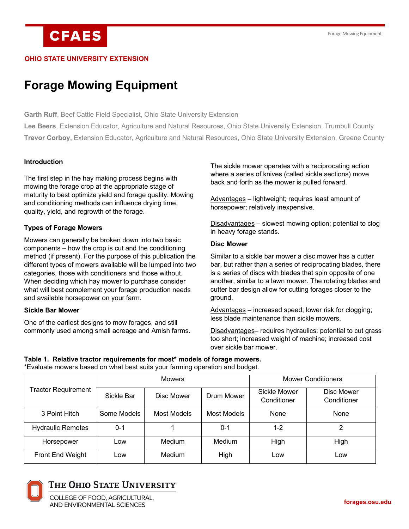# **CFAES**

#### **OHIO STATE UNIVERSITY EXTENSION**

## **Forage Mowing Equipment**

**Garth Ruff**, Beef Cattle Field Specialist, Ohio State University Extension

**Lee Beers**, Extension Educator, Agriculture and Natural Resources, Ohio State University Extension, Trumbull County **Trevor Corboy,** Extension Educator, Agriculture and Natural Resources, Ohio State University Extension, Greene County

#### **Introduction**

The first step in the hay making process begins with mowing the forage crop at the appropriate stage of maturity to best optimize yield and forage quality. Mowing and conditioning methods can influence drying time, quality, yield, and regrowth of the forage.

#### **Types of Forage Mowers**

Mowers can generally be broken down into two basic components – how the crop is cut and the conditioning method (if present). For the purpose of this publication the different types of mowers available will be lumped into two categories, those with conditioners and those without. When deciding which hay mower to purchase consider what will best complement your forage production needs and available horsepower on your farm.

#### **Sickle Bar Mower**

One of the earliest designs to mow forages, and still commonly used among small acreage and Amish farms. The sickle mower operates with a reciprocating action where a series of knives (called sickle sections) move back and forth as the mower is pulled forward.

Advantages – lightweight; requires least amount of horsepower; relatively inexpensive.

Disadvantages – slowest mowing option; potential to clog in heavy forage stands.

#### **Disc Mower**

Similar to a sickle bar mower a disc mower has a cutter bar, but rather than a series of reciprocating blades, there is a series of discs with blades that spin opposite of one another, similar to a lawn mower. The rotating blades and cutter bar design allow for cutting forages closer to the ground.

Advantages – increased speed; lower risk for clogging; less blade maintenance than sickle mowers.

Disadvantages– requires hydraulics; potential to cut grass too short; increased weight of machine; increased cost over sickle bar mower.

#### **Table 1. Relative tractor requirements for most\* models of forage mowers.**

\*Evaluate mowers based on what best suits your farming operation and budget.

| <b>Tractor Requirement</b> | <b>Mowers</b> |             |             | <b>Mower Conditioners</b>   |                           |
|----------------------------|---------------|-------------|-------------|-----------------------------|---------------------------|
|                            | Sickle Bar    | Disc Mower  | Drum Mower  | Sickle Mower<br>Conditioner | Disc Mower<br>Conditioner |
| 3 Point Hitch              | Some Models   | Most Models | Most Models | None                        | None                      |
| <b>Hydraulic Remotes</b>   | $0 - 1$       |             | $0 - 1$     | 1-2                         | າ                         |
| Horsepower                 | Low           | Medium      | Medium      | High                        | High                      |
| Front End Weight           | Low           | Medium      | High        | Low                         | Low                       |



### THE OHIO STATE UNIVERSITY

COLLEGE OF FOOD, AGRICULTURAL. AND ENVIRONMENTAL SCIENCES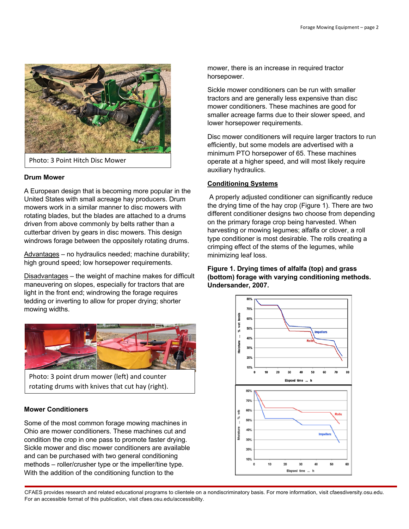

#### **Drum Mower**

A European design that is becoming more popular in the United States with small acreage hay producers. Drum mowers work in a similar manner to disc mowers with rotating blades, but the blades are attached to a drums driven from above commonly by belts rather than a cutterbar driven by gears in disc mowers. This design windrows forage between the oppositely rotating drums.

Advantages – no hydraulics needed; machine durability; high ground speed; low horsepower requirements.

Disadvantages – the weight of machine makes for difficult maneuvering on slopes, especially for tractors that are light in the front end; windrowing the forage requires tedding or inverting to allow for proper drying; shorter mowing widths.



Photo: 3 point drum mower (left) and counter rotating drums with knives that cut hay (right).

#### **Mower Conditioners**

Some of the most common forage mowing machines in Ohio are mower conditioners. These machines cut and condition the crop in one pass to promote faster drying. Sickle mower and disc mower conditioners are available and can be purchased with two general conditioning methods – roller/crusher type or the impeller/tine type. With the addition of the conditioning function to the

mower, there is an increase in required tractor horsepower.

Sickle mower conditioners can be run with smaller tractors and are generally less expensive than disc mower conditioners. These machines are good for smaller acreage farms due to their slower speed, and lower horsepower requirements.

Disc mower conditioners will require larger tractors to run efficiently, but some models are advertised with a minimum PTO horsepower of 65. These machines operate at a higher speed, and will most likely require auxiliary hydraulics.

#### **Conditioning Systems**

A properly adjusted conditioner can significantly reduce the drying time of the hay crop (Figure 1). There are two different conditioner designs two choose from depending on the primary forage crop being harvested. When harvesting or mowing legumes; alfalfa or clover, a roll type conditioner is most desirable. The rolls creating a crimping effect of the stems of the legumes, while minimizing leaf loss.

**Figure 1. Drying times of alfalfa (top) and grass (bottom) forage with varying conditioning methods. Undersander, 2007.** 



CFAES provides research and related educational programs to clientele on a nondiscriminatory basis. For more information, visit cfaesdiversity.osu.edu. For an accessible format of this publication, visit cfaes.osu.edu/accessibility.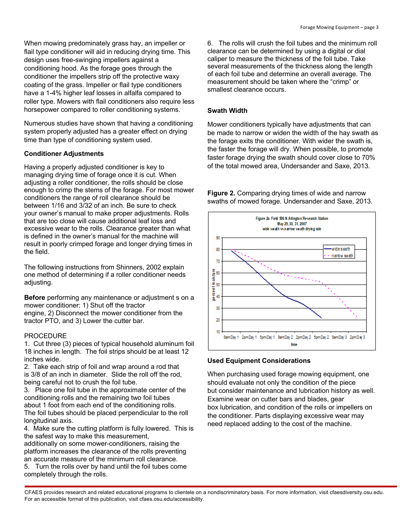When mowing predominately grass hay, an impeller or flail type conditioner will aid in reducing drying time. This design uses free-swinging impellers against a conditioning hood. As the forage goes through the conditioner the impellers strip off the protective waxy coating of the grass. Impeller or flail type conditioners have a 1-4% higher leaf losses in alfalfa compared to roller type. Mowers with flail conditioners also require less horsepower compared to roller conditioning systems.

Numerous studies have shown that having a conditioning system properly adjusted has a greater effect on drying time than type of conditioning system used.

#### **Conditioner Adjustments**

Having a properly adjusted conditioner is key to managing drying time of forage once it is cut. When adjusting a roller conditioner, the rolls should be close enough to crimp the stems of the forage. For most mower conditioners the range of roll clearance should be between 1/16 and 3/32 of an inch. Be sure to check your owner's manual to make proper adjustments. Rolls that are too close will cause additional leaf loss and excessive wear to the rolls. Clearance greater than what is defined in the owner's manual for the machine will result in poorly crimped forage and longer drying times in the field.

The following instructions from Shinners, 2002 explain one method of determining if a roller conditioner needs adjusting.

**Before** performing any maintenance or adjustment s on a mower conditioner: 1) Shut off the tractor engine, 2) Disconnect the mower conditioner from the tractor PTO, and 3) Lower the cutter bar.

#### PROCEDURE

1. Cut three (3) pieces of typical household aluminum foil 18 inches in length. The foil strips should be at least 12 inches wide.

2. Take each strip of foil and wrap around a rod that is 3/8 of an inch in diameter. Slide the roll off the rod, being careful not to crush the foil tube.

3. Place one foil tube in the approximate center of the conditioning rolls and the remaining two foil tubes about 1 foot from each end of the conditioning rolls. The foil tubes should be placed perpendicular to the roll longitudinal axis.

4. Make sure the cutting platform is fully lowered. This is the safest way to make this measurement,

additionally on some mower-conditioners, raising the platform increases the clearance of the rolls preventing an accurate measure of the minimum roll clearance.

5. Turn the rolls over by hand until the foil tubes come completely through the rolls.

6. The rolls will crush the foil tubes and the minimum roll clearance can be determined by using a digital or dial caliper to measure the thickness of the foil tube. Take several measurements of the thickness along the length of each foil tube and determine an overall average. The measurement should be taken where the "crimp" or smallest clearance occurs.

#### **Swath Width**

Mower conditioners typically have adjustments that can be made to narrow or widen the width of the hay swath as the forage exits the conditioner. With wider the swath is, the faster the forage will dry. When possible, to promote faster forage drying the swath should cover close to 70% of the total mowed area, Undersander and Saxe, 2013.

**Figure 2.** Comparing drying times of wide and narrow swaths of mowed forage. Undersander and Saxe, 2013.



#### **Used Equipment Considerations**

When purchasing used forage mowing equipment, one should evaluate not only the condition of the piece but consider maintenance and lubrication history as well. Examine wear on cutter bars and blades, gear box lubrication, and condition of the rolls or impellers on the conditioner. Parts displaying excessive wear may need replaced adding to the cost of the machine.

CFAES provides research and related educational programs to clientele on a nondiscriminatory basis. For more information, visit cfaesdiversity.osu.edu. For an accessible format of this publication, visit cfaes.osu.edu/accessibility.